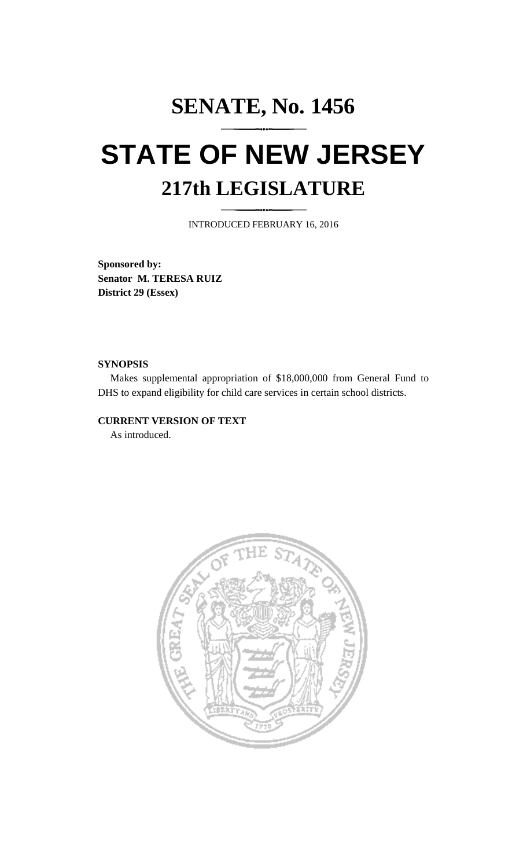# **SENATE, No. 1456 STATE OF NEW JERSEY 217th LEGISLATURE**

INTRODUCED FEBRUARY 16, 2016

**Sponsored by: Senator M. TERESA RUIZ District 29 (Essex)**

#### **SYNOPSIS**

Makes supplemental appropriation of \$18,000,000 from General Fund to DHS to expand eligibility for child care services in certain school districts.

# **CURRENT VERSION OF TEXT**

As introduced.

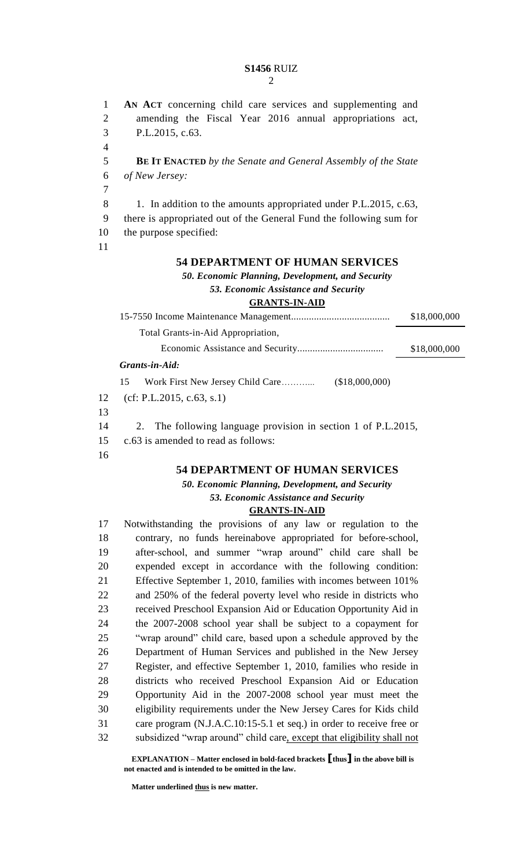#### **S1456** RUIZ  $\mathcal{D}$

 **AN ACT** concerning child care services and supplementing and amending the Fiscal Year 2016 annual appropriations act, P.L.2015, c.63. **BE IT ENACTED** *by the Senate and General Assembly of the State of New Jersey:* 8 1. In addition to the amounts appropriated under P.L.2015, c.63, there is appropriated out of the General Fund the following sum for the purpose specified:

# **DEPARTMENT OF HUMAN SERVICES**

*50. Economic Planning, Development, and Security 53. Economic Assistance and Security* **GRANTS-IN-AID**

|    |                                        |                | \$18,000,000 |
|----|----------------------------------------|----------------|--------------|
|    | Total Grants-in-Aid Appropriation,     |                |              |
|    |                                        |                | \$18,000,000 |
|    | Grants-in-Aid:                         |                |              |
|    | Work First New Jersey Child Care<br>15 | (\$18,000,000) |              |
| 12 | (cf: P.L.2015, c.63, s.1)              |                |              |

- 
- 2. The following language provision in section 1 of P.L.2015,
- c.63 is amended to read as follows:
- 

### **DEPARTMENT OF HUMAN SERVICES**

# *50. Economic Planning, Development, and Security 53. Economic Assistance and Security*

#### **GRANTS-IN-AID**

 Notwithstanding the provisions of any law or regulation to the contrary, no funds hereinabove appropriated for before-school, after-school, and summer "wrap around" child care shall be expended except in accordance with the following condition: Effective September 1, 2010, families with incomes between 101% and 250% of the federal poverty level who reside in districts who received Preschool Expansion Aid or Education Opportunity Aid in the 2007-2008 school year shall be subject to a copayment for "wrap around" child care, based upon a schedule approved by the Department of Human Services and published in the New Jersey Register, and effective September 1, 2010, families who reside in districts who received Preschool Expansion Aid or Education Opportunity Aid in the 2007-2008 school year must meet the eligibility requirements under the New Jersey Cares for Kids child care program (N.J.A.C.10:15-5.1 et seq.) in order to receive free or subsidized "wrap around" child care, except that eligibility shall not

**EXPLANATION – Matter enclosed in bold-faced brackets [thus] in the above bill is not enacted and is intended to be omitted in the law.**

**Matter underlined thus is new matter.**